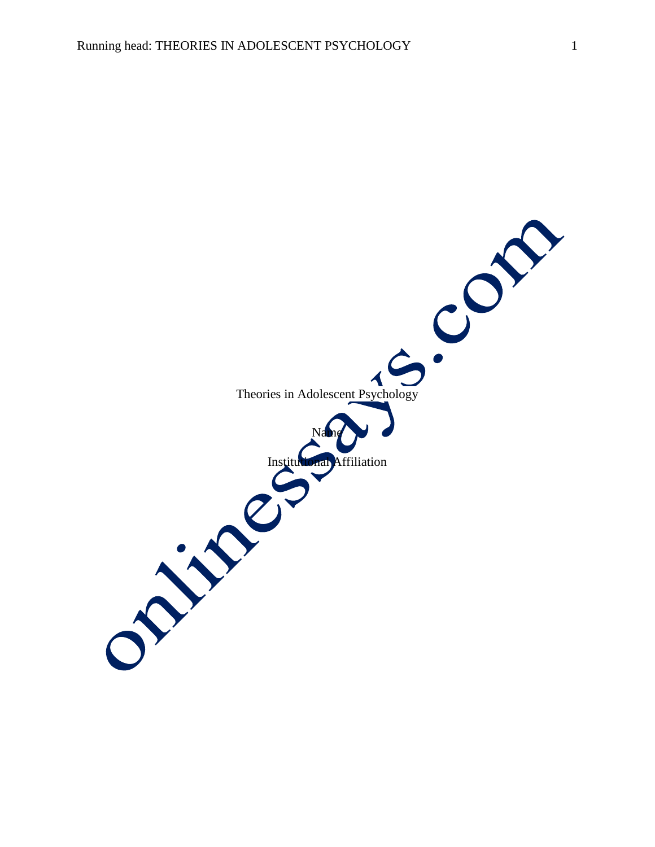Theories in Adolescent Psychology  $\blacktriangleleft$ Name Affiliation J. J. P.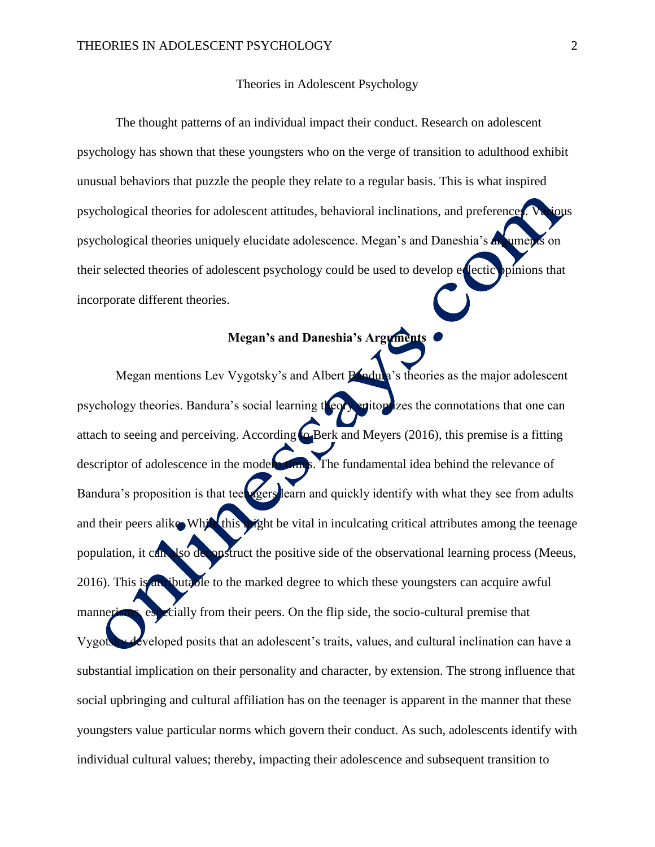## Theories in Adolescent Psychology

The thought patterns of an individual impact their conduct. Research on adolescent psychology has shown that these youngsters who on the verge of transition to adulthood exhibit unusual behaviors that puzzle the people they relate to a regular basis. This is what inspired psychological theories for adolescent attitudes, behavioral inclinations, and preferences. Various psychological theories uniquely elucidate adolescence. Megan's and Daneshia's **arguments** on their selected theories of adolescent psychology could be used to develop electic prinions that incorporate different theories.

## **Megan's and Daneshia's Arguments**

Megan mentions Lev Vygotsky's and Albert **Bandula**'s theories as the major adolescent psychology theories. Bandura's social learning theory epitomizes the connotations that one can attach to seeing and perceiving. According  $\omega$  Berk and Meyers (2016), this premise is a fitting descriptor of adolescence in the modern times. The fundamental idea behind the relevance of Bandura's proposition is that teen gers learn and quickly identify with what they see from adults and their peers alike. While this might be vital in inculcating critical attributes among the teenage population, it can also deconstruct the positive side of the observational learning process (Meeus, 2016). This is attributable to the marked degree to which these youngsters can acquire awful mannerisms, especially from their peers. On the flip side, the socio-cultural premise that Vygotsky developed posits that an adolescent's traits, values, and cultural inclination can have a substantial implication on their personality and character, by extension. The strong influence that social upbringing and cultural affiliation has on the teenager is apparent in the manner that these youngsters value particular norms which govern their conduct. As such, adolescents identify with individual cultural values; thereby, impacting their adolescence and subsequent transition to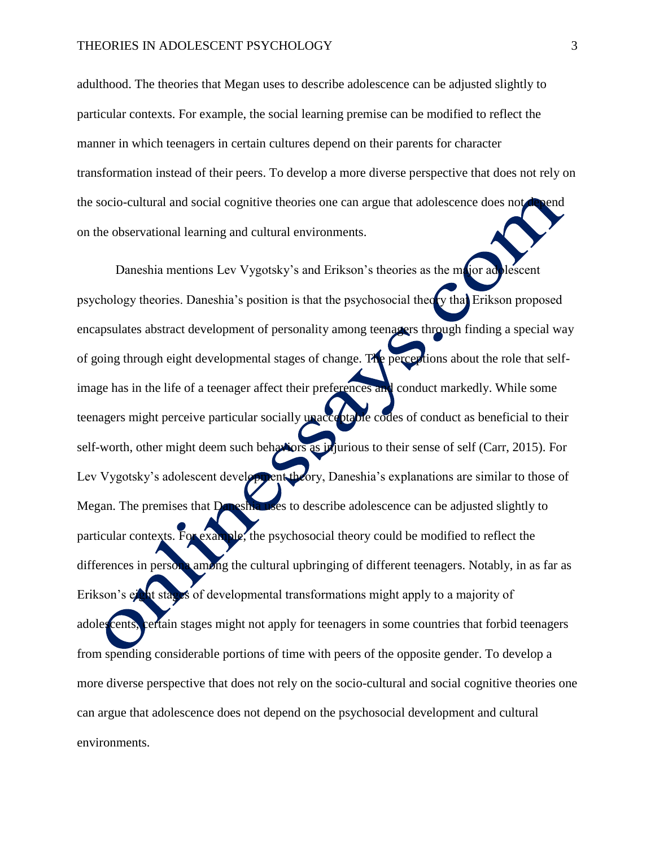adulthood. The theories that Megan uses to describe adolescence can be adjusted slightly to particular contexts. For example, the social learning premise can be modified to reflect the manner in which teenagers in certain cultures depend on their parents for character transformation instead of their peers. To develop a more diverse perspective that does not rely on the socio-cultural and social cognitive theories one can argue that adolescence does not on the observational learning and cultural environments.

Daneshia mentions Lev Vygotsky's and Erikson's theories as the major adolescent psychology theories. Daneshia's position is that the psychosocial theory that Erikson proposed encapsulates abstract development of personality among teenagers through finding a special way of going through eight developmental stages of change. The perceptions about the role that selfimage has in the life of a teenager affect their preferences and conduct markedly. While some teenagers might perceive particular socially unacceptable codes of conduct as beneficial to their self-worth, other might deem such behaviors as injurious to their sense of self (Carr, 2015). For Lev Vygotsky's adolescent development theory, Daneshia's explanations are similar to those of Megan. The premises that Daneshia uses to describe adolescence can be adjusted slightly to particular contexts. For example, the psychosocial theory could be modified to reflect the differences in persona among the cultural upbringing of different teenagers. Notably, in as far as Erikson's eight stages of developmental transformations might apply to a majority of adoles cents, certain stages might not apply for teenagers in some countries that forbid teenagers from spending considerable portions of time with peers of the opposite gender. To develop a more diverse perspective that does not rely on the socio-cultural and social cognitive theories one can argue that adolescence does not depend on the psychosocial development and cultural environments.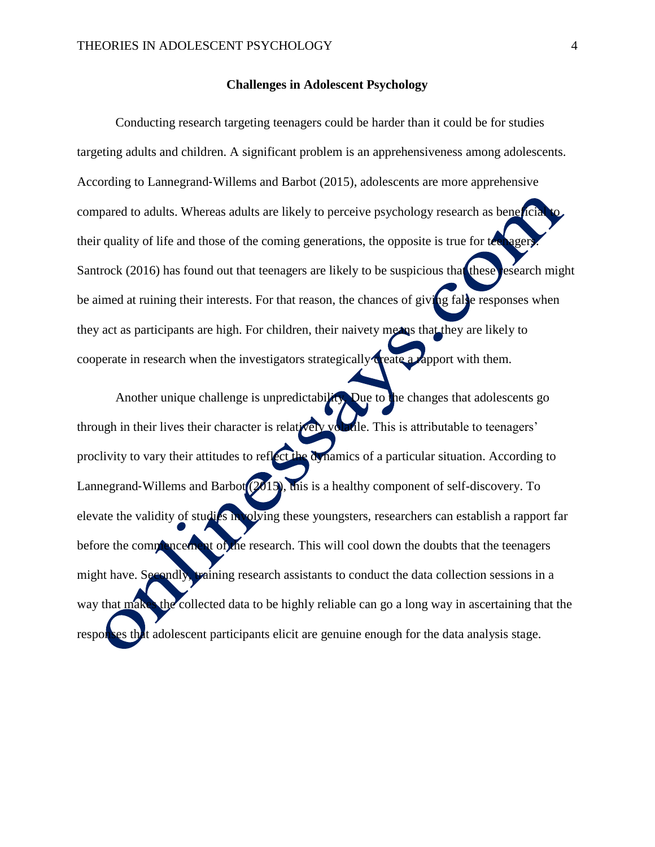## **Challenges in Adolescent Psychology**

Conducting research targeting teenagers could be harder than it could be for studies targeting adults and children. A significant problem is an apprehensiveness among adolescents. According to Lannegrand‐Willems and Barbot (2015), adolescents are more apprehensive compared to adults. Whereas adults are likely to perceive psychology research as beneficial their quality of life and those of the coming generations, the opposite is true for technique Santrock (2016) has found out that teenagers are likely to be suspicious that these research might be aimed at ruining their interests. For that reason, the chances of giving falle responses when they act as participants are high. For children, their naivety means that they are likely to cooperate in research when the investigators strategically create a rapport with them.

Another unique challenge is unpredictability. Due to the changes that adolescents go through in their lives their character is relatively volatile. This is attributable to teenagers' proclivity to vary their attitudes to reflect the dynamics of a particular situation. According to Lannegrand-Willems and Barbot  $(2015)$ , this is a healthy component of self-discovery. To elevate the validity of studies involving these youngsters, researchers can establish a rapport far before the commencement of the research. This will cool down the doubts that the teenagers might have. Secondly, training research assistants to conduct the data collection sessions in a way that makes the collected data to be highly reliable can go a long way in ascertaining that the responses that adolescent participants elicit are genuine enough for the data analysis stage.